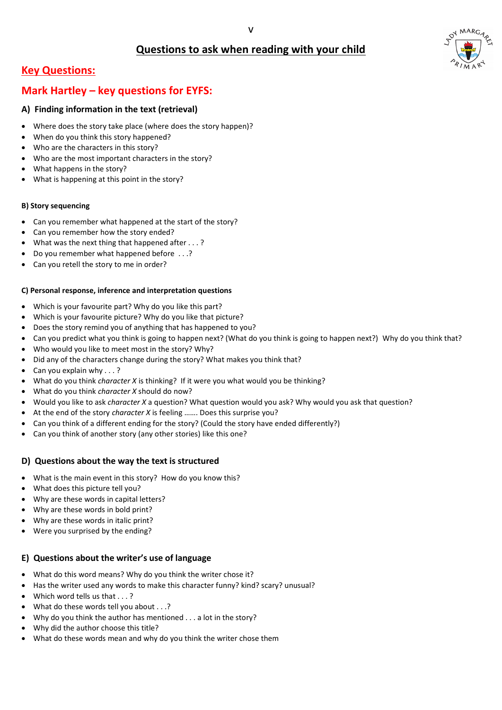## **Questions to ask when reading with your child**



### **Mark Hartley – key questions for EYFS:**

#### **A) Finding information in the text (retrieval)**

- Can you remember what happened at the start of the story?
- Can you remember how the story ended?
- What was the next thing that happened after . . . ?
- Do you remember what happened before . . .?
- Can you retell the story to me in order?
- Where does the story take place (where does the story happen)?
- When do you think this story happened?
- Who are the characters in this story?
- Who are the most important characters in the story?
- What happens in the story?
- What is happening at this point in the story?

#### **B) Story sequencing**

#### **C) Personal response, inference and interpretation questions**

- Which is your favourite part? Why do you like this part?
- Which is your favourite picture? Why do you like that picture?
- Does the story remind you of anything that has happened to you?
- Can you predict what you think is going to happen next? (What do you think is going to happen next?) Why do you think that?
- Who would you like to meet most in the story? Why?
- Did any of the characters change during the story? What makes you think that?
- Can you explain why  $\ldots$  ?
- What do you think *character X* is thinking? If it were you what would you be thinking?
- What do you think *character X* should do now?
- Would you like to ask *character X* a question? What question would you ask? Why would you ask that question?
- At the end of the story *character X* is feeling ……. Does this surprise you?
- Can you think of a different ending for the story? (Could the story have ended differently?)
- Can you think of another story (any other stories) like this one?

#### **D) Questions about the way the text is structured**

- What is the main event in this story? How do you know this?
- What does this picture tell you?
- Why are these words in capital letters?
- Why are these words in bold print?
- Why are these words in italic print?
- Were you surprised by the ending?



#### **E) Questions about the writer's use of language**

- What do this word means? Why do you think the writer chose it?
- Has the writer used any words to make this character funny? kind? scary? unusual?
- Which word tells us that . . .?
- What do these words tell you about . . .?
- Why do you think the author has mentioned . . . a lot in the story?
- Why did the author choose this title?
- What do these words mean and why do you think the writer chose them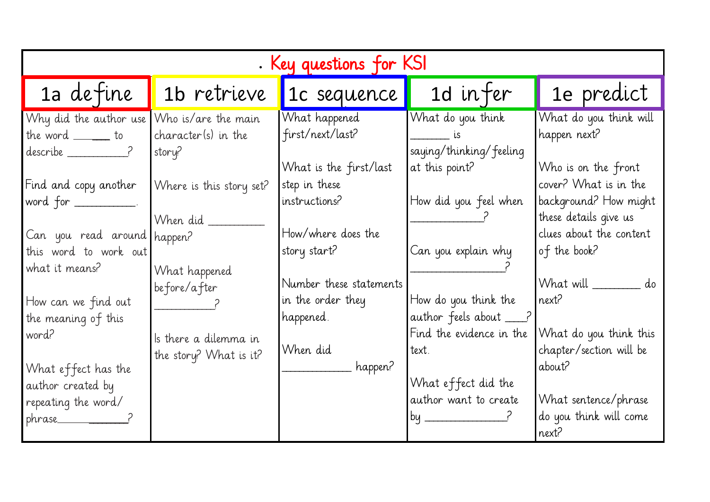| . Key questions for KSI                                                      |                                                      |                                                              |                                                                                    |  |  |  |  |
|------------------------------------------------------------------------------|------------------------------------------------------|--------------------------------------------------------------|------------------------------------------------------------------------------------|--|--|--|--|
| 1a define                                                                    | 1b retrieve                                          | 1c sequence                                                  | 1d in fer                                                                          |  |  |  |  |
| Why did the author use<br>the word $\rule{1em}{0.15mm}$ to<br>$describe$ $?$ | Who is/are the main<br>character(s) in the<br>story? | What happened<br>first/next/last?<br>What is the first/last  | What do you think<br>$\frac{1}{2}$ LS<br>saying/thinking/feeling<br>at this point? |  |  |  |  |
| Find and copy another<br>word for $\_\_$<br>Can you read around happen?      | Where is this story set?<br>When did _               | step in these<br>instructions?<br>How/where does the         | How did you feel when                                                              |  |  |  |  |
| this word to work out<br>what it means?                                      | What happened<br>before/after                        | story start?<br>Number these statements<br>in the order they | Can you explain why<br>$ $ How do you think the                                    |  |  |  |  |
| How can we find out<br>the meaning of this<br>word?                          | Is there a dilemma in<br>the story? What is it?      | happened.<br>When did                                        | author feels about ___?<br>Find the evidence in the<br>text.                       |  |  |  |  |
| What effect has the<br>author created by<br>repeating the word/<br>phrase    |                                                      | happen?                                                      | What effect did the<br>author want to create<br>by                                 |  |  |  |  |

# 1e predict

What do you think will happen next?

Who is on the front cover? What is in the background? How might these details give us clues about the content of the book?

What will \_\_\_\_\_\_\_\_\_\_\_ do next?

What do you think this chapter/section will be about?

What sentence/phrase do you think will come next?